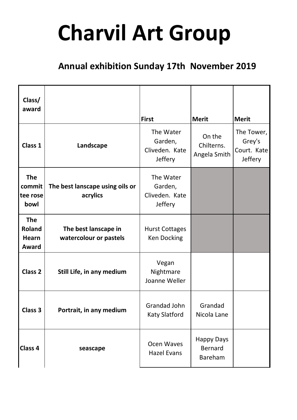## **Charvil Art Group**

## **Annual exhibition Sunday 17th November 2019**

| Class/<br>award                                      |                                                | <b>First</b>                                             | <b>Merit</b>                                   | <b>Merit</b>                                          |
|------------------------------------------------------|------------------------------------------------|----------------------------------------------------------|------------------------------------------------|-------------------------------------------------------|
| Class 1                                              | Landscape                                      | The Water<br>Garden,<br>Cliveden. Kate<br><b>Jeffery</b> | On the<br>Chilterns.<br>Angela Smith           | The Tower,<br>Grey's<br>Court. Kate<br><b>Jeffery</b> |
| <b>The</b><br>commit<br>tee rose<br>bowl             | The best lanscape using oils or<br>acrylics    | The Water<br>Garden,<br>Cliveden. Kate<br>Jeffery        |                                                |                                                       |
| <b>The</b><br><b>Roland</b><br><b>Hearn</b><br>Award | The best lanscape in<br>watercolour or pastels | <b>Hurst Cottages</b><br><b>Ken Docking</b>              |                                                |                                                       |
| Class <sub>2</sub>                                   | Still Life, in any medium                      | Vegan<br>Nightmare<br>Joanne Weller                      |                                                |                                                       |
| Class 3                                              | Portrait, in any medium                        | Grandad John<br><b>Katy Slatford</b>                     | Grandad<br>Nicola Lane                         |                                                       |
| <b>Class 4</b>                                       | seascape                                       | Ocen Waves<br><b>Hazel Evans</b>                         | <b>Happy Days</b><br><b>Bernard</b><br>Bareham |                                                       |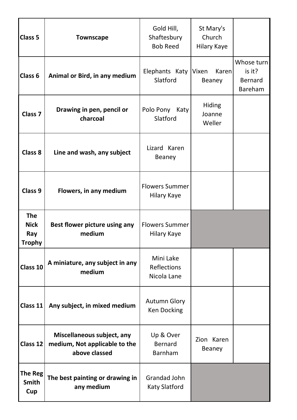| Class 5                                           | <b>Townscape</b>                                                             | Gold Hill,<br>Shaftesbury<br><b>Bob Reed</b>   | St Mary's<br>Church<br><b>Hilary Kaye</b> |                                                          |
|---------------------------------------------------|------------------------------------------------------------------------------|------------------------------------------------|-------------------------------------------|----------------------------------------------------------|
| Class <sub>6</sub>                                | Animal or Bird, in any medium                                                | Elephants Katy<br>Slatford                     | Karenl<br>Vixen<br>Beaney                 | Whose turn<br>is it?<br><b>Bernard</b><br><b>Bareham</b> |
| <b>Class 7</b>                                    | Drawing in pen, pencil or<br>charcoal                                        | Polo Pony Katy<br>Slatford                     | <b>Hiding</b><br>Joanne<br>Weller         |                                                          |
| Class 8                                           | Line and wash, any subject                                                   | Lizard Karen<br>Beaney                         |                                           |                                                          |
| Class 9                                           | Flowers, in any medium                                                       | <b>Flowers Summer</b><br>Hilary Kaye           |                                           |                                                          |
| <b>The</b><br><b>Nick</b><br>Ray<br><b>Trophy</b> | Best flower picture using any<br>medium                                      | <b>Flowers Summer</b><br>Hilary Kaye           |                                           |                                                          |
| Class 10                                          | A miniature, any subject in any<br>medium                                    | Mini Lake<br><b>Reflections</b><br>Nicola Lane |                                           |                                                          |
| Class 11                                          | Any subject, in mixed medium                                                 | <b>Autumn Glory</b><br><b>Ken Docking</b>      |                                           |                                                          |
| Class 12                                          | Miscellaneous subject, any<br>medium, Not applicable to the<br>above classed | Up & Over<br><b>Bernard</b><br><b>Barnham</b>  | Zion Karen<br>Beaney                      |                                                          |
| The Reg<br><b>Smith</b><br>Cup                    | The best painting or drawing in<br>any medium                                | Grandad John<br><b>Katy Slatford</b>           |                                           |                                                          |